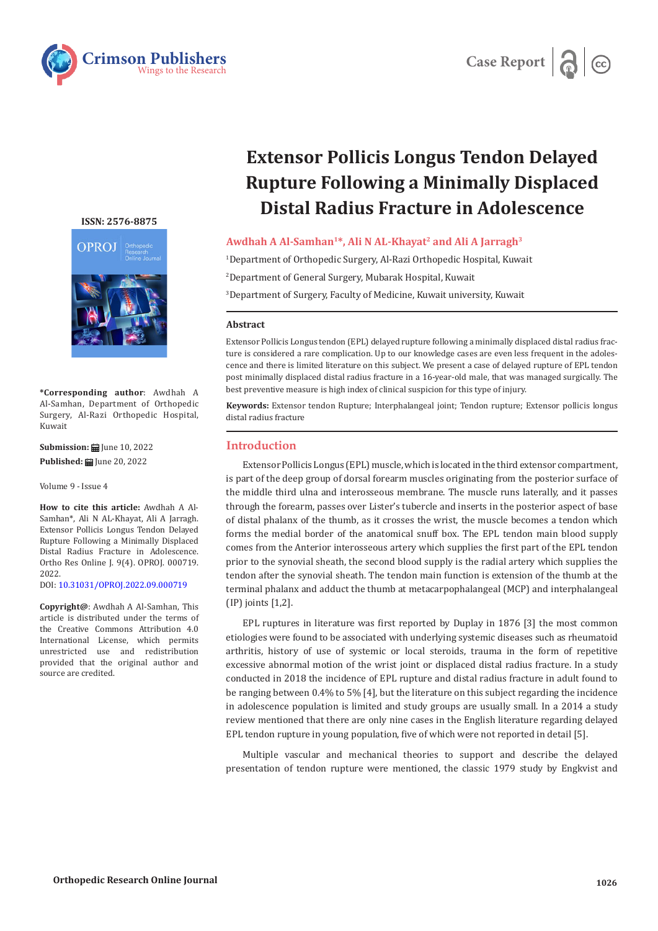



# **Extensor Pollicis Longus Tendon Delayed Rupture Following a Minimally Displaced Distal Radius Fracture in Adolescence**

## Awdhah A Al-Samhan<sup>1\*</sup>, Ali N AL-Khayat<sup>2</sup> and Ali A Jarragh<sup>3</sup>

1 Department of Orthopedic Surgery, Al-Razi Orthopedic Hospital, Kuwait

2 Department of General Surgery, Mubarak Hospital, Kuwait

3 Department of Surgery, Faculty of Medicine, Kuwait university, Kuwait

#### **Abstract**

Extensor Pollicis Longus tendon (EPL) delayed rupture following a minimally displaced distal radius fracture is considered a rare complication. Up to our knowledge cases are even less frequent in the adolescence and there is limited literature on this subject. We present a case of delayed rupture of EPL tendon post minimally displaced distal radius fracture in a 16-year-old male, that was managed surgically. The best preventive measure is high index of clinical suspicion for this type of injury.

**Keywords:** Extensor tendon Rupture; Interphalangeal joint; Tendon rupture; Extensor pollicis longus distal radius fracture

## **Introduction**

Extensor Pollicis Longus (EPL) muscle, which is located in the third extensor compartment, is part of the deep group of dorsal forearm muscles originating from the posterior surface of the middle third ulna and interosseous membrane. The muscle runs laterally, and it passes through the forearm, passes over Lister's tubercle and inserts in the posterior aspect of base of distal phalanx of the thumb, as it crosses the wrist, the muscle becomes a tendon which forms the medial border of the anatomical snuff box. The EPL tendon main blood supply comes from the Anterior interosseous artery which supplies the first part of the EPL tendon prior to the synovial sheath, the second blood supply is the radial artery which supplies the tendon after the synovial sheath. The tendon main function is extension of the thumb at the terminal phalanx and adduct the thumb at metacarpophalangeal (MCP) and interphalangeal (IP) joints [1,2].

EPL ruptures in literature was first reported by Duplay in 1876 [3] the most common etiologies were found to be associated with underlying systemic diseases such as rheumatoid arthritis, history of use of systemic or local steroids, trauma in the form of repetitive excessive abnormal motion of the wrist joint or displaced distal radius fracture. In a study conducted in 2018 the incidence of EPL rupture and distal radius fracture in adult found to be ranging between 0.4% to 5% [4], but the literature on this subject regarding the incidence in adolescence population is limited and study groups are usually small. In a 2014 a study review mentioned that there are only nine cases in the English literature regarding delayed EPL tendon rupture in young population, five of which were not reported in detail [5].

Multiple vascular and mechanical theories to support and describe the delayed presentation of tendon rupture were mentioned, the classic 1979 study by Engkvist and

#### **[ISSN: 2576-8875](https://www.crimsonpublishers.com/oproj/)**



**\*Corresponding author**: Awdhah A Al-Samhan, Department of Orthopedic Surgery, Al-Razi Orthopedic Hospital, Kuwait

**Submission: H** June 10, 2022 **Published: | June 20, 2022** 

Volume 9 - Issue 4

**How to cite this article:** Awdhah A Al-Samhan\*, Ali N AL-Khayat, Ali A Jarragh. Extensor Pollicis Longus Tendon Delayed Rupture Following a Minimally Displaced Distal Radius Fracture in Adolescence. Ortho Res Online J. 9(4). OPROJ. 000719. 2022.

DOI: [10.31031/OPROJ.2022.09.000719](http://dx.doi.org/10.31031/OPROJ.2022.09.000719)

**Copyright@**: Awdhah A Al-Samhan, This article is distributed under the terms of the Creative Commons Attribution 4.0 International License, which permits unrestricted use and redistribution provided that the original author and source are credited.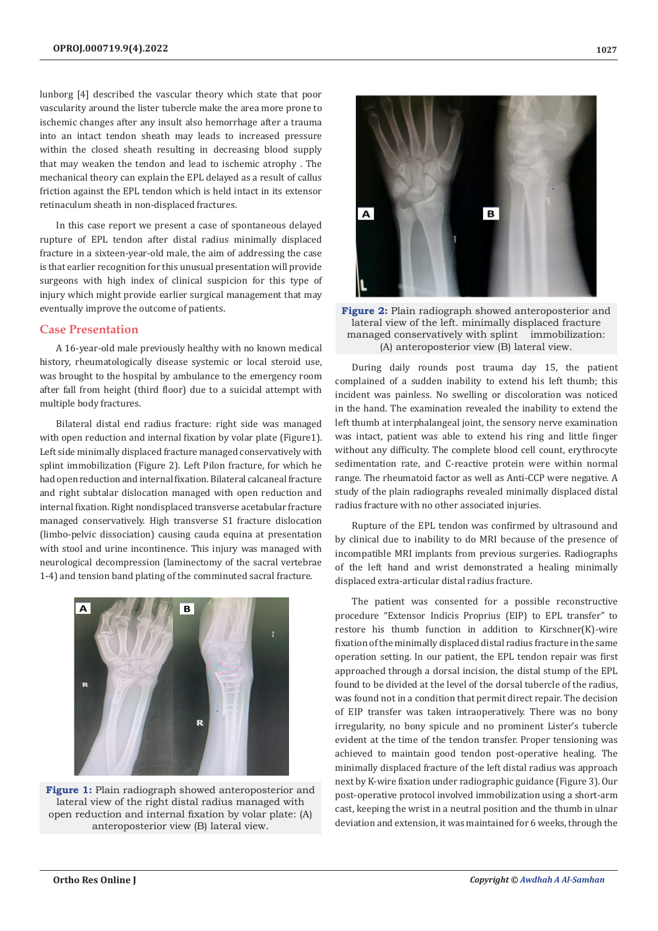lunborg [4] described the vascular theory which state that poor vascularity around the lister tubercle make the area more prone to ischemic changes after any insult also hemorrhage after a trauma into an intact tendon sheath may leads to increased pressure within the closed sheath resulting in decreasing blood supply that may weaken the tendon and lead to ischemic atrophy . The mechanical theory can explain the EPL delayed as a result of callus friction against the EPL tendon which is held intact in its extensor retinaculum sheath in non-displaced fractures.

In this case report we present a case of spontaneous delayed rupture of EPL tendon after distal radius minimally displaced fracture in a sixteen-year-old male, the aim of addressing the case is that earlier recognition for this unusual presentation will provide surgeons with high index of clinical suspicion for this type of injury which might provide earlier surgical management that may eventually improve the outcome of patients.

## **Case Presentation**

A 16-year-old male previously healthy with no known medical history, rheumatologically disease systemic or local steroid use, was brought to the hospital by ambulance to the emergency room after fall from height (third floor) due to a suicidal attempt with multiple body fractures.

Bilateral distal end radius fracture: right side was managed with open reduction and internal fixation by volar plate (Figure1). Left side minimally displaced fracture managed conservatively with splint immobilization (Figure 2). Left Pilon fracture, for which he had open reduction and internal fixation. Bilateral calcaneal fracture and right subtalar dislocation managed with open reduction and internal fixation. Right nondisplaced transverse acetabular fracture managed conservatively. High transverse S1 fracture dislocation (limbo-pelvic dissociation) causing cauda equina at presentation with stool and urine incontinence. This injury was managed with neurological decompression (laminectomy of the sacral vertebrae 1-4) and tension band plating of the comminuted sacral fracture.



**Figure 1:** Plain radiograph showed anteroposterior and lateral view of the right distal radius managed with open reduction and internal fixation by volar plate: (A) anteroposterior view (B) lateral view.



**Figure 2:** Plain radiograph showed anteroposterior and lateral view of the left. minimally displaced fracture managed conservatively with splint immobilization: (A) anteroposterior view (B) lateral view.

During daily rounds post trauma day 15, the patient complained of a sudden inability to extend his left thumb; this incident was painless. No swelling or discoloration was noticed in the hand. The examination revealed the inability to extend the left thumb at interphalangeal joint, the sensory nerve examination was intact, patient was able to extend his ring and little finger without any difficulty. The complete blood cell count, erythrocyte sedimentation rate, and C-reactive protein were within normal range. The rheumatoid factor as well as Anti-CCP were negative. A study of the plain radiographs revealed minimally displaced distal radius fracture with no other associated injuries.

Rupture of the EPL tendon was confirmed by ultrasound and by clinical due to inability to do MRI because of the presence of incompatible MRI implants from previous surgeries. Radiographs of the left hand and wrist demonstrated a healing minimally displaced extra-articular distal radius fracture.

The patient was consented for a possible reconstructive procedure "Extensor Indicis Proprius (EIP) to EPL transfer" to restore his thumb function in addition to Kirschner(K)-wire fixation of the minimally displaced distal radius fracture in the same operation setting. In our patient, the EPL tendon repair was first approached through a dorsal incision, the distal stump of the EPL found to be divided at the level of the dorsal tubercle of the radius, was found not in a condition that permit direct repair. The decision of EIP transfer was taken intraoperatively. There was no bony irregularity, no bony spicule and no prominent Lister's tubercle evident at the time of the tendon transfer. Proper tensioning was achieved to maintain good tendon post-operative healing. The minimally displaced fracture of the left distal radius was approach next by K-wire fixation under radiographic guidance (Figure 3). Our post-operative protocol involved immobilization using a short-arm cast, keeping the wrist in a neutral position and the thumb in ulnar deviation and extension, it was maintained for 6 weeks, through the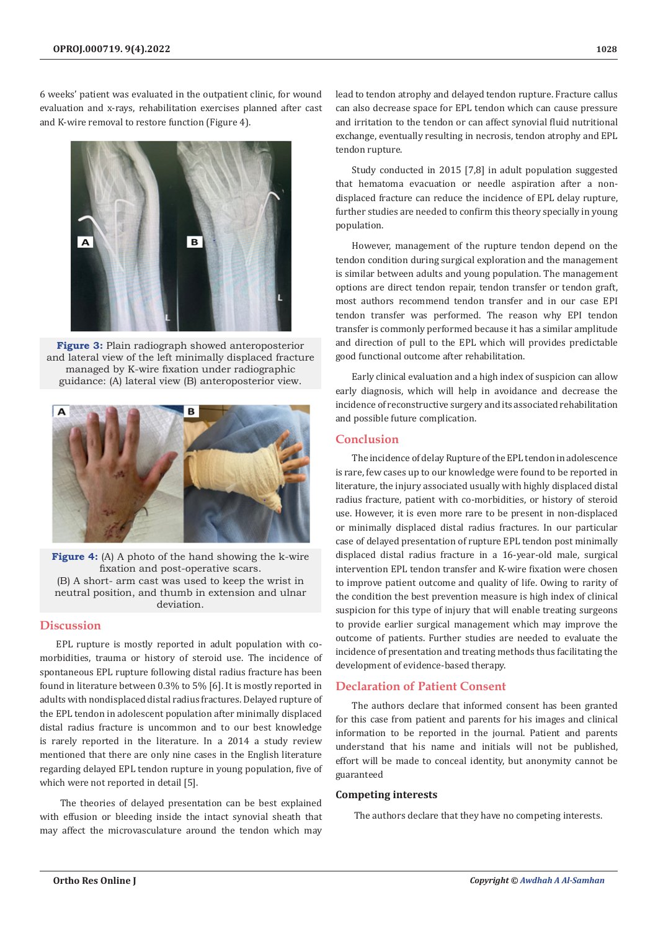6 weeks' patient was evaluated in the outpatient clinic, for wound evaluation and x-rays, rehabilitation exercises planned after cast and K-wire removal to restore function (Figure 4).



**Figure 3:** Plain radiograph showed anteroposterior and lateral view of the left minimally displaced fracture managed by K-wire fixation under radiographic guidance: (A) lateral view (B) anteroposterior view.



**Figure 4:** (A) A photo of the hand showing the k-wire fixation and post-operative scars. (B) A short- arm cast was used to keep the wrist in neutral position, and thumb in extension and ulnar deviation.

## **Discussion**

EPL rupture is mostly reported in adult population with comorbidities, trauma or history of steroid use. The incidence of spontaneous EPL rupture following distal radius fracture has been found in literature between 0.3% to 5% [6]. It is mostly reported in adults with nondisplaced distal radius fractures. Delayed rupture of the EPL tendon in adolescent population after minimally displaced distal radius fracture is uncommon and to our best knowledge is rarely reported in the literature. In a 2014 a study review mentioned that there are only nine cases in the English literature regarding delayed EPL tendon rupture in young population, five of which were not reported in detail [5].

 The theories of delayed presentation can be best explained with effusion or bleeding inside the intact synovial sheath that may affect the microvasculature around the tendon which may

lead to tendon atrophy and delayed tendon rupture. Fracture callus can also decrease space for EPL tendon which can cause pressure and irritation to the tendon or can affect synovial fluid nutritional exchange, eventually resulting in necrosis, tendon atrophy and EPL tendon rupture.

Study conducted in 2015 [7,8] in adult population suggested that hematoma evacuation or needle aspiration after a nondisplaced fracture can reduce the incidence of EPL delay rupture, further studies are needed to confirm this theory specially in young population.

However, management of the rupture tendon depend on the tendon condition during surgical exploration and the management is similar between adults and young population. The management options are direct tendon repair, tendon transfer or tendon graft, most authors recommend tendon transfer and in our case EPI tendon transfer was performed. The reason why EPI tendon transfer is commonly performed because it has a similar amplitude and direction of pull to the EPL which will provides predictable good functional outcome after rehabilitation.

Early clinical evaluation and a high index of suspicion can allow early diagnosis, which will help in avoidance and decrease the incidence of reconstructive surgery and its associated rehabilitation and possible future complication.

## **Conclusion**

The incidence of delay Rupture of the EPL tendon in adolescence is rare, few cases up to our knowledge were found to be reported in literature, the injury associated usually with highly displaced distal radius fracture, patient with co-morbidities, or history of steroid use. However, it is even more rare to be present in non-displaced or minimally displaced distal radius fractures. In our particular case of delayed presentation of rupture EPL tendon post minimally displaced distal radius fracture in a 16-year-old male, surgical intervention EPL tendon transfer and K-wire fixation were chosen to improve patient outcome and quality of life. Owing to rarity of the condition the best prevention measure is high index of clinical suspicion for this type of injury that will enable treating surgeons to provide earlier surgical management which may improve the outcome of patients. Further studies are needed to evaluate the incidence of presentation and treating methods thus facilitating the development of evidence-based therapy.

## **Declaration of Patient Consent**

The authors declare that informed consent has been granted for this case from patient and parents for his images and clinical information to be reported in the journal. Patient and parents understand that his name and initials will not be published, effort will be made to conceal identity, but anonymity cannot be guaranteed

## **Competing interests**

The authors declare that they have no competing interests.